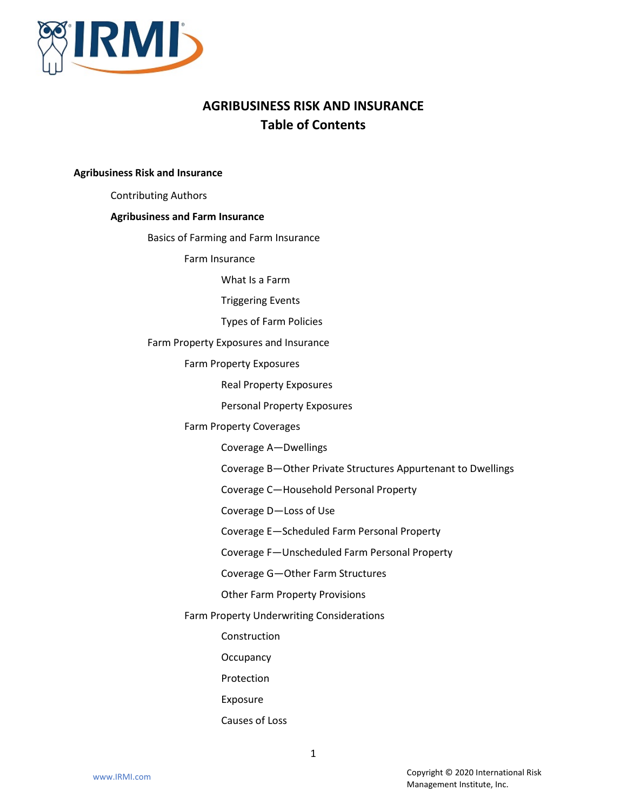

# **AGRIBUSINESS RISK AND INSURANCE Table of Contents**

## **Agribusiness Risk and Insurance**

Contributing Authors

## **Agribusiness and Farm Insurance**

Basics of Farming and Farm Insurance

Farm Insurance

What Is a Farm

Triggering Events

Types of Farm Policies

Farm Property Exposures and Insurance

Farm Property Exposures

Real Property Exposures

Personal Property Exposures

# Farm Property Coverages

Coverage A—Dwellings

Coverage B—Other Private Structures Appurtenant to Dwellings

Coverage C—Household Personal Property

Coverage D—Loss of Use

Coverage E—Scheduled Farm Personal Property

Coverage F—Unscheduled Farm Personal Property

Coverage G—Other Farm Structures

Other Farm Property Provisions

# Farm Property Underwriting Considerations

Construction

**Occupancy** 

Protection

Exposure

# Causes of Loss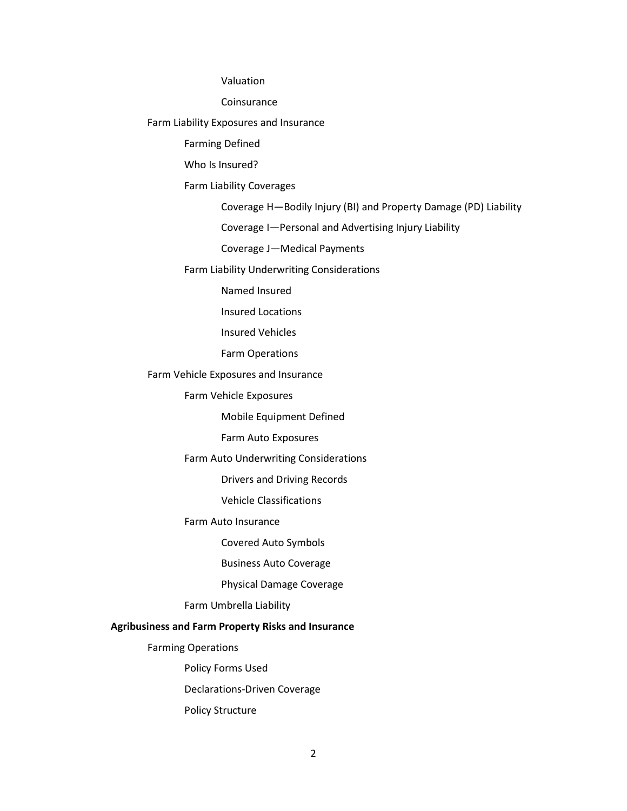Valuation

Coinsurance

Farm Liability Exposures and Insurance

Farming Defined

Who Is Insured?

Farm Liability Coverages

Coverage H—Bodily Injury (BI) and Property Damage (PD) Liability

Coverage I—Personal and Advertising Injury Liability

Coverage J—Medical Payments

Farm Liability Underwriting Considerations

Named Insured

Insured Locations

Insured Vehicles

Farm Operations

Farm Vehicle Exposures and Insurance

Farm Vehicle Exposures

Mobile Equipment Defined

Farm Auto Exposures

Farm Auto Underwriting Considerations

Drivers and Driving Records

Vehicle Classifications

Farm Auto Insurance

Covered Auto Symbols

Business Auto Coverage

Physical Damage Coverage

Farm Umbrella Liability

# **Agribusiness and Farm Property Risks and Insurance**

Farming Operations

Policy Forms Used

Declarations-Driven Coverage

Policy Structure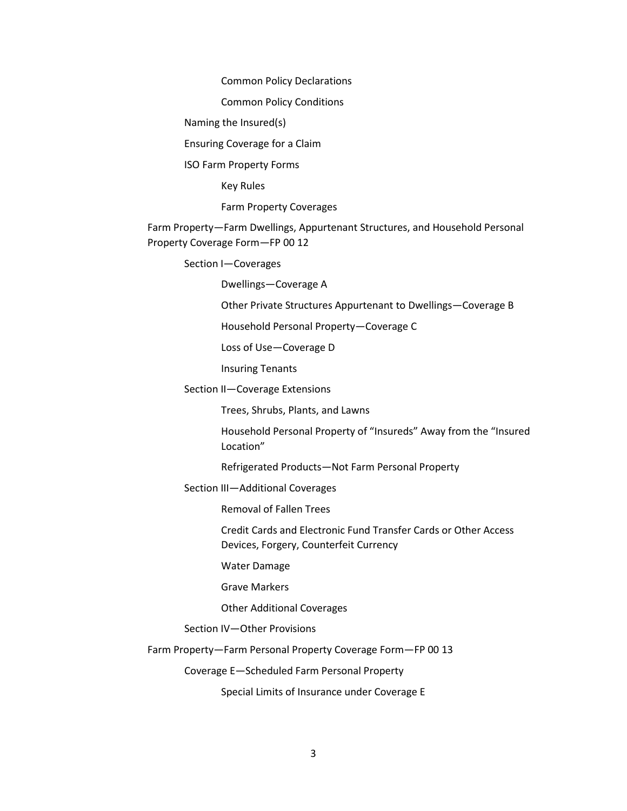Common Policy Declarations

Common Policy Conditions

Naming the Insured(s)

Ensuring Coverage for a Claim

ISO Farm Property Forms

Key Rules

Farm Property Coverages

Farm Property—Farm Dwellings, Appurtenant Structures, and Household Personal Property Coverage Form—FP 00 12

Section I—Coverages

Dwellings—Coverage A

Other Private Structures Appurtenant to Dwellings—Coverage B

Household Personal Property—Coverage C

Loss of Use—Coverage D

Insuring Tenants

Section II—Coverage Extensions

Trees, Shrubs, Plants, and Lawns

Household Personal Property of "Insureds" Away from the "Insured Location"

Refrigerated Products—Not Farm Personal Property

Section III—Additional Coverages

Removal of Fallen Trees

Credit Cards and Electronic Fund Transfer Cards or Other Access Devices, Forgery, Counterfeit Currency

Water Damage

Grave Markers

Other Additional Coverages

Section IV—Other Provisions

Farm Property—Farm Personal Property Coverage Form—FP 00 13

Coverage E—Scheduled Farm Personal Property

Special Limits of Insurance under Coverage E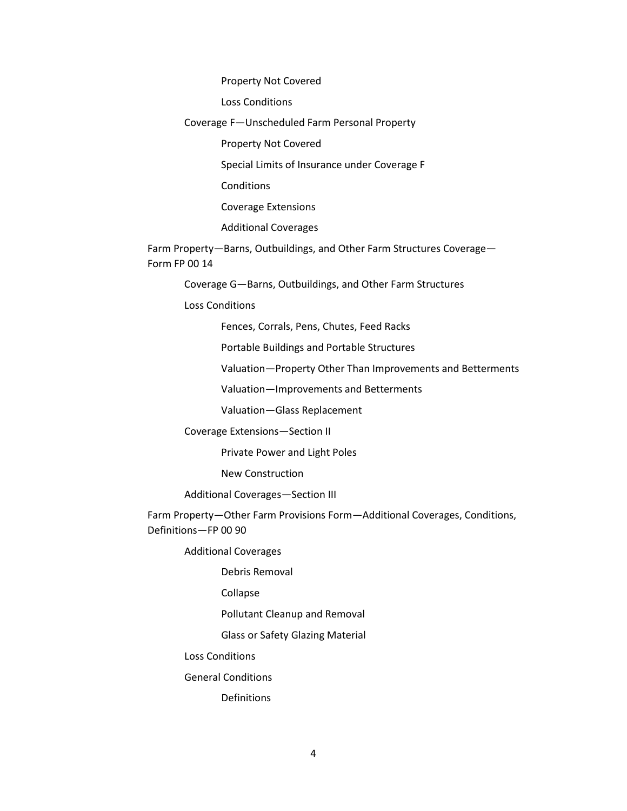Property Not Covered

Loss Conditions

Coverage F—Unscheduled Farm Personal Property

Property Not Covered

Special Limits of Insurance under Coverage F

Conditions

Coverage Extensions

Additional Coverages

Farm Property—Barns, Outbuildings, and Other Farm Structures Coverage— Form FP 00 14

Coverage G—Barns, Outbuildings, and Other Farm Structures

Loss Conditions

Fences, Corrals, Pens, Chutes, Feed Racks

Portable Buildings and Portable Structures

Valuation—Property Other Than Improvements and Betterments

Valuation—Improvements and Betterments

Valuation—Glass Replacement

Coverage Extensions—Section II

Private Power and Light Poles

New Construction

Additional Coverages—Section III

Farm Property—Other Farm Provisions Form—Additional Coverages, Conditions, Definitions—FP 00 90

Additional Coverages

Debris Removal

Collapse

Pollutant Cleanup and Removal

Glass or Safety Glazing Material

Loss Conditions

General Conditions

Definitions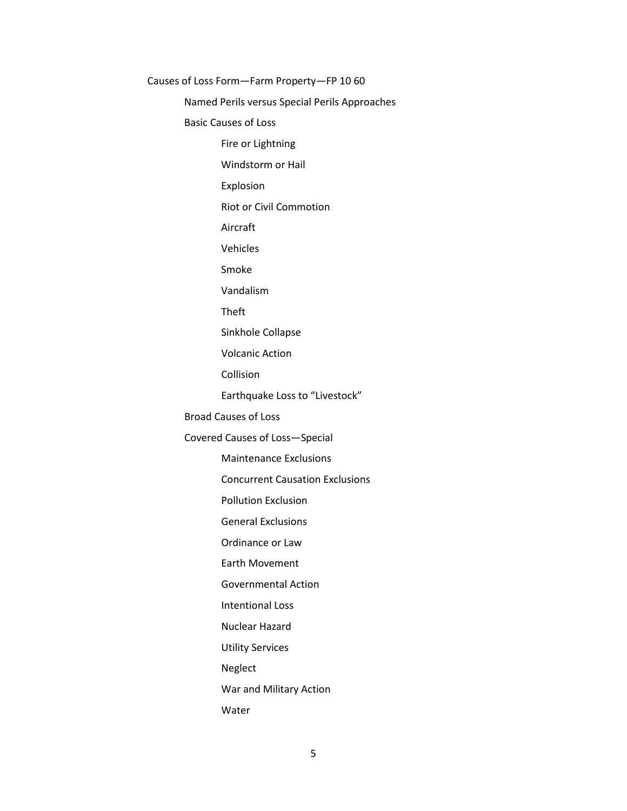Causes of Loss Form—Farm Property—FP 10 60 Named Perils versus Special Perils Approaches Basic Causes of Loss Fire or Lightning Windstorm or Hail Explosion Riot or Civil Commotion Aircraft Vehicles Smoke Vandalism Theft Sinkhole Collapse Volcanic Action Collision Earthquake Loss to "Livestock" Broad Causes of Loss Covered Causes of Loss—Special Maintenance Exclusions Concurrent Causation Exclusions Pollution Exclusion General Exclusions Ordinance or Law Earth Movement Governmental Action Intentional Loss Nuclear Hazard Utility Services Neglect War and Military Action Water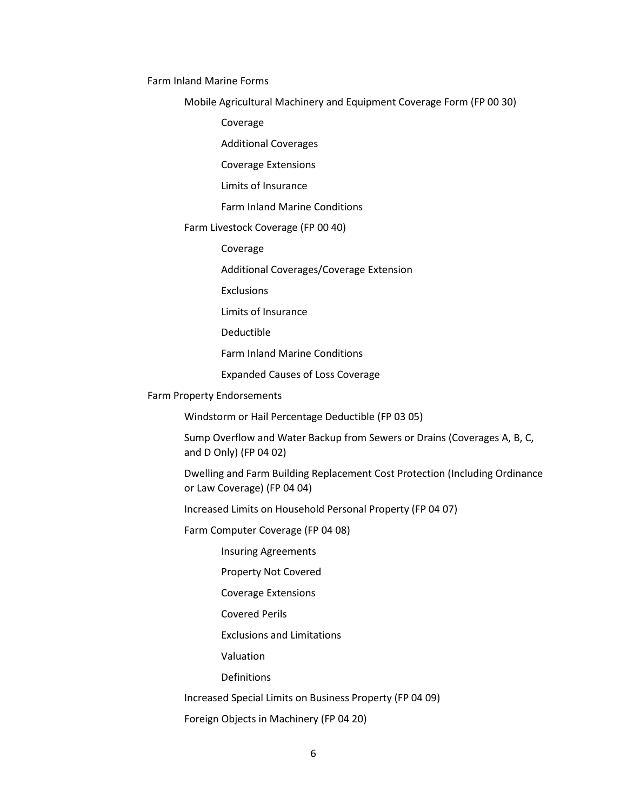Farm Inland Marine Forms

Mobile Agricultural Machinery and Equipment Coverage Form (FP 00 30)

Coverage

Additional Coverages

Coverage Extensions

Limits of Insurance

Farm Inland Marine Conditions

## Farm Livestock Coverage (FP 00 40)

Coverage

Additional Coverages/Coverage Extension

**Exclusions** 

Limits of Insurance

Deductible

Farm Inland Marine Conditions

Expanded Causes of Loss Coverage

## Farm Property Endorsements

Windstorm or Hail Percentage Deductible (FP 03 05)

Sump Overflow and Water Backup from Sewers or Drains (Coverages A, B, C, and D Only) (FP 04 02)

Dwelling and Farm Building Replacement Cost Protection (Including Ordinance or Law Coverage) (FP 04 04)

Increased Limits on Household Personal Property (FP 04 07)

Farm Computer Coverage (FP 04 08)

Insuring Agreements

Property Not Covered

Coverage Extensions

Covered Perils

Exclusions and Limitations

Valuation

Definitions

Increased Special Limits on Business Property (FP 04 09)

Foreign Objects in Machinery (FP 04 20)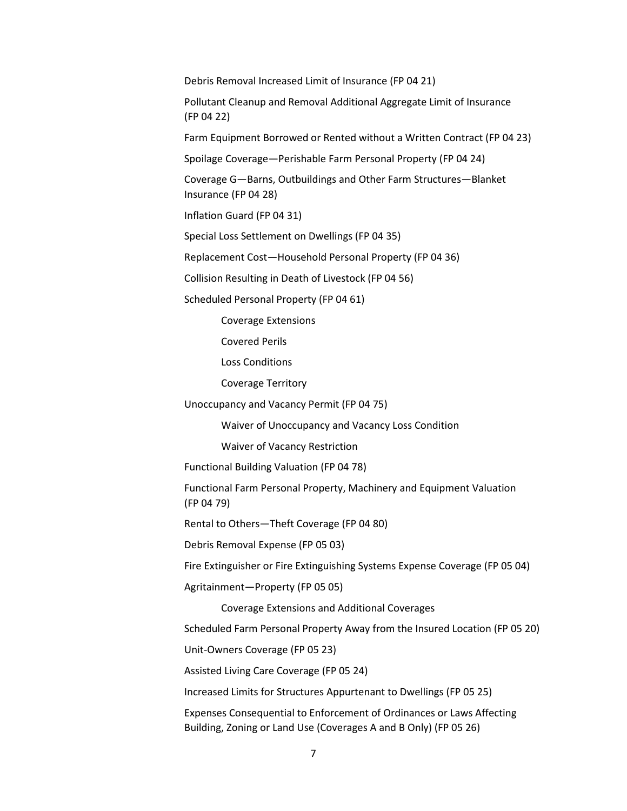Debris Removal Increased Limit of Insurance (FP 04 21)

Pollutant Cleanup and Removal Additional Aggregate Limit of Insurance (FP 04 22)

Farm Equipment Borrowed or Rented without a Written Contract (FP 04 23)

Spoilage Coverage—Perishable Farm Personal Property (FP 04 24)

Coverage G—Barns, Outbuildings and Other Farm Structures—Blanket Insurance (FP 04 28)

Inflation Guard (FP 04 31)

Special Loss Settlement on Dwellings (FP 04 35)

Replacement Cost—Household Personal Property (FP 04 36)

Collision Resulting in Death of Livestock (FP 04 56)

Scheduled Personal Property (FP 04 61)

Coverage Extensions

Covered Perils

Loss Conditions

Coverage Territory

Unoccupancy and Vacancy Permit (FP 04 75)

Waiver of Unoccupancy and Vacancy Loss Condition

Waiver of Vacancy Restriction

Functional Building Valuation (FP 04 78)

Functional Farm Personal Property, Machinery and Equipment Valuation (FP 04 79)

Rental to Others—Theft Coverage (FP 04 80)

Debris Removal Expense (FP 05 03)

Fire Extinguisher or Fire Extinguishing Systems Expense Coverage (FP 05 04)

Agritainment—Property (FP 05 05)

Coverage Extensions and Additional Coverages

Scheduled Farm Personal Property Away from the Insured Location (FP 05 20)

Unit-Owners Coverage (FP 05 23)

Assisted Living Care Coverage (FP 05 24)

Increased Limits for Structures Appurtenant to Dwellings (FP 05 25)

Expenses Consequential to Enforcement of Ordinances or Laws Affecting Building, Zoning or Land Use (Coverages A and B Only) (FP 05 26)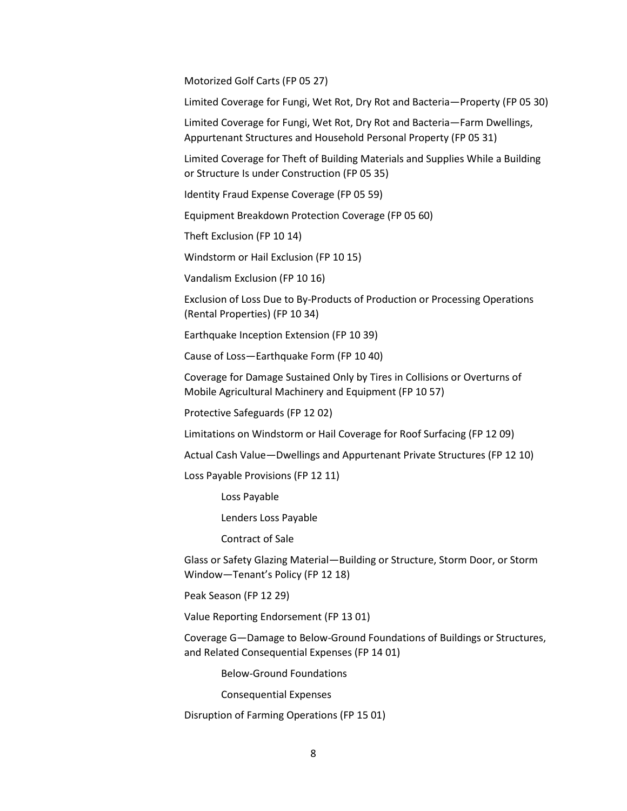Motorized Golf Carts (FP 05 27)

Limited Coverage for Fungi, Wet Rot, Dry Rot and Bacteria—Property (FP 05 30)

Limited Coverage for Fungi, Wet Rot, Dry Rot and Bacteria—Farm Dwellings, Appurtenant Structures and Household Personal Property (FP 05 31)

Limited Coverage for Theft of Building Materials and Supplies While a Building or Structure Is under Construction (FP 05 35)

Identity Fraud Expense Coverage (FP 05 59)

Equipment Breakdown Protection Coverage (FP 05 60)

Theft Exclusion (FP 10 14)

Windstorm or Hail Exclusion (FP 10 15)

Vandalism Exclusion (FP 10 16)

Exclusion of Loss Due to By-Products of Production or Processing Operations (Rental Properties) (FP 10 34)

Earthquake Inception Extension (FP 10 39)

Cause of Loss—Earthquake Form (FP 10 40)

Coverage for Damage Sustained Only by Tires in Collisions or Overturns of Mobile Agricultural Machinery and Equipment (FP 10 57)

Protective Safeguards (FP 12 02)

Limitations on Windstorm or Hail Coverage for Roof Surfacing (FP 12 09)

Actual Cash Value—Dwellings and Appurtenant Private Structures (FP 12 10)

Loss Payable Provisions (FP 12 11)

Loss Payable

Lenders Loss Payable

Contract of Sale

Glass or Safety Glazing Material—Building or Structure, Storm Door, or Storm Window—Tenant's Policy (FP 12 18)

Peak Season (FP 12 29)

Value Reporting Endorsement (FP 13 01)

Coverage G—Damage to Below-Ground Foundations of Buildings or Structures, and Related Consequential Expenses (FP 14 01)

Below-Ground Foundations

Consequential Expenses

Disruption of Farming Operations (FP 15 01)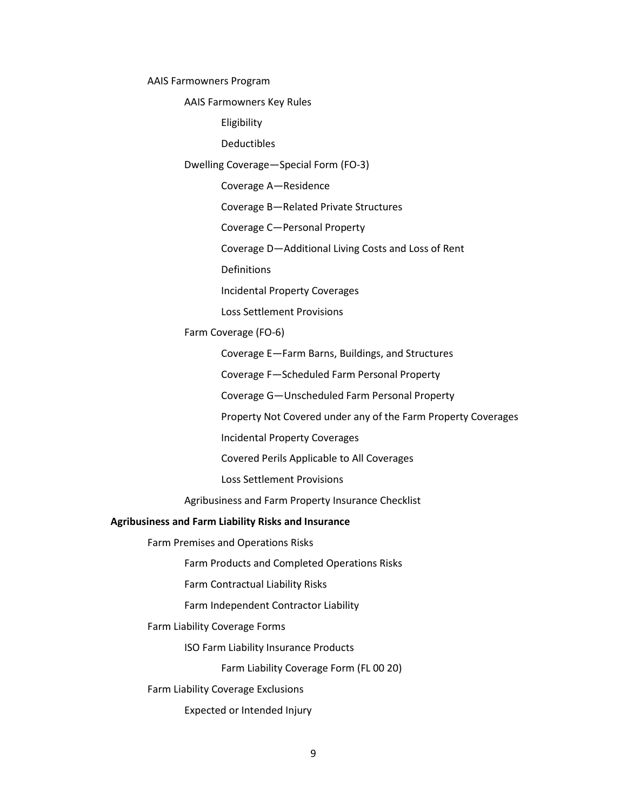AAIS Farmowners Program

AAIS Farmowners Key Rules

Eligibility

Deductibles

Dwelling Coverage—Special Form (FO-3)

Coverage A—Residence

Coverage B—Related Private Structures

Coverage C—Personal Property

Coverage D—Additional Living Costs and Loss of Rent

Definitions

Incidental Property Coverages

Loss Settlement Provisions

Farm Coverage (FO-6)

Coverage E—Farm Barns, Buildings, and Structures

Coverage F—Scheduled Farm Personal Property

Coverage G—Unscheduled Farm Personal Property

Property Not Covered under any of the Farm Property Coverages

Incidental Property Coverages

Covered Perils Applicable to All Coverages

Loss Settlement Provisions

Agribusiness and Farm Property Insurance Checklist

#### **Agribusiness and Farm Liability Risks and Insurance**

Farm Premises and Operations Risks

Farm Products and Completed Operations Risks

Farm Contractual Liability Risks

Farm Independent Contractor Liability

Farm Liability Coverage Forms

ISO Farm Liability Insurance Products

Farm Liability Coverage Form (FL 00 20)

Farm Liability Coverage Exclusions

Expected or Intended Injury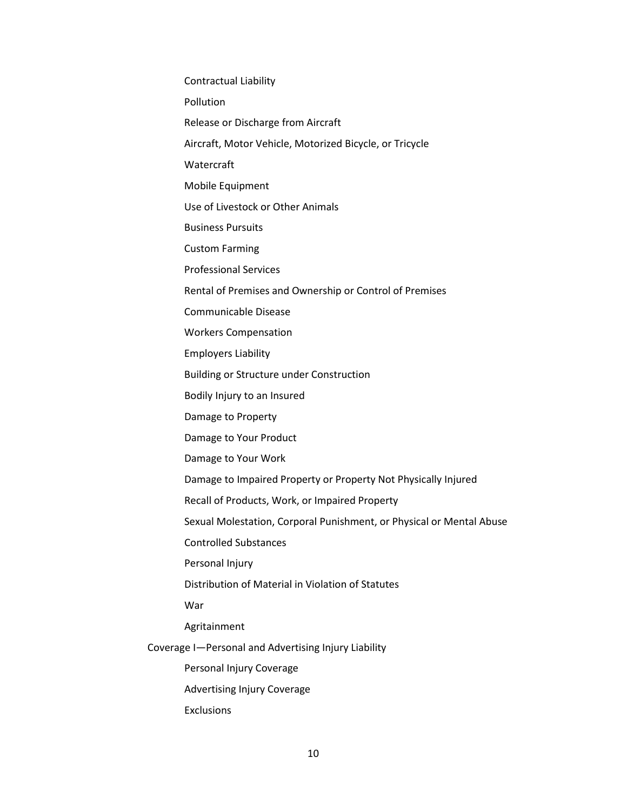Contractual Liability Pollution Release or Discharge from Aircraft Aircraft, Motor Vehicle, Motorized Bicycle, or Tricycle Watercraft Mobile Equipment Use of Livestock or Other Animals Business Pursuits Custom Farming Professional Services Rental of Premises and Ownership or Control of Premises Communicable Disease Workers Compensation Employers Liability Building or Structure under Construction Bodily Injury to an Insured Damage to Property Damage to Your Product Damage to Your Work Damage to Impaired Property or Property Not Physically Injured Recall of Products, Work, or Impaired Property Sexual Molestation, Corporal Punishment, or Physical or Mental Abuse Controlled Substances Personal Injury Distribution of Material in Violation of Statutes War Agritainment Coverage I—Personal and Advertising Injury Liability Personal Injury Coverage Advertising Injury Coverage Exclusions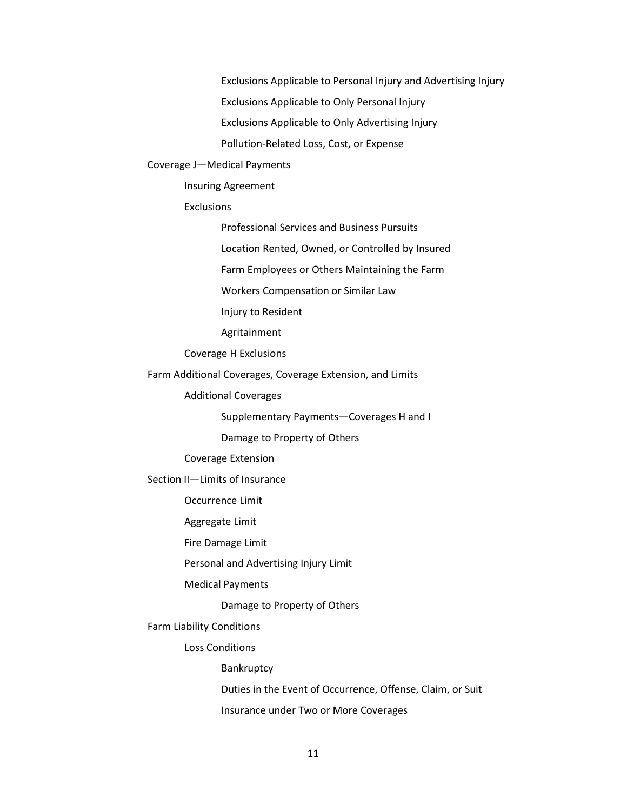Exclusions Applicable to Personal Injury and Advertising Injury Exclusions Applicable to Only Personal Injury Exclusions Applicable to Only Advertising Injury Pollution-Related Loss, Cost, or Expense

#### Coverage J—Medical Payments

Insuring Agreement

Exclusions

Professional Services and Business Pursuits

Location Rented, Owned, or Controlled by Insured

Farm Employees or Others Maintaining the Farm

Workers Compensation or Similar Law

Injury to Resident

Agritainment

Coverage H Exclusions

Farm Additional Coverages, Coverage Extension, and Limits

Additional Coverages

Supplementary Payments—Coverages H and I

Damage to Property of Others

Coverage Extension

Section II—Limits of Insurance

Occurrence Limit

Aggregate Limit

Fire Damage Limit

Personal and Advertising Injury Limit

Medical Payments

Damage to Property of Others

Farm Liability Conditions

Loss Conditions

Bankruptcy

Duties in the Event of Occurrence, Offense, Claim, or Suit

Insurance under Two or More Coverages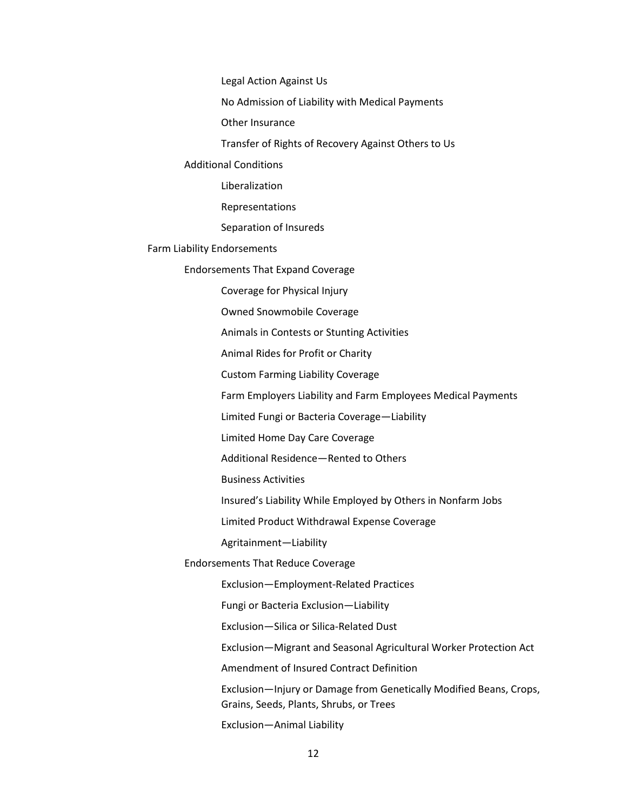Legal Action Against Us

No Admission of Liability with Medical Payments

Other Insurance

Transfer of Rights of Recovery Against Others to Us

## Additional Conditions

Liberalization

Representations

Separation of Insureds

#### Farm Liability Endorsements

Endorsements That Expand Coverage

Coverage for Physical Injury

Owned Snowmobile Coverage

Animals in Contests or Stunting Activities

Animal Rides for Profit or Charity

Custom Farming Liability Coverage

Farm Employers Liability and Farm Employees Medical Payments

Limited Fungi or Bacteria Coverage—Liability

Limited Home Day Care Coverage

Additional Residence—Rented to Others

Business Activities

Insured's Liability While Employed by Others in Nonfarm Jobs

Limited Product Withdrawal Expense Coverage

Agritainment—Liability

Endorsements That Reduce Coverage

Exclusion—Employment-Related Practices

Fungi or Bacteria Exclusion—Liability

Exclusion—Silica or Silica-Related Dust

Exclusion—Migrant and Seasonal Agricultural Worker Protection Act

Amendment of Insured Contract Definition

Exclusion—Injury or Damage from Genetically Modified Beans, Crops, Grains, Seeds, Plants, Shrubs, or Trees

Exclusion—Animal Liability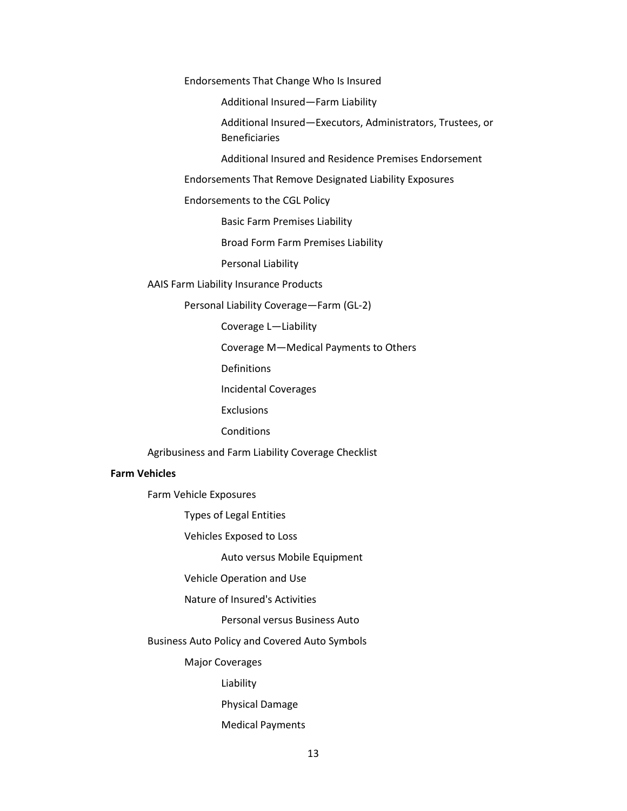Endorsements That Change Who Is Insured

Additional Insured—Farm Liability

Additional Insured—Executors, Administrators, Trustees, or Beneficiaries

Additional Insured and Residence Premises Endorsement

Endorsements That Remove Designated Liability Exposures

Endorsements to the CGL Policy

Basic Farm Premises Liability

Broad Form Farm Premises Liability

Personal Liability

AAIS Farm Liability Insurance Products

Personal Liability Coverage—Farm (GL-2)

Coverage L—Liability

Coverage M—Medical Payments to Others

**Definitions** 

Incidental Coverages

**Exclusions** 

**Conditions** 

Agribusiness and Farm Liability Coverage Checklist

## **Farm Vehicles**

Farm Vehicle Exposures

Types of Legal Entities

Vehicles Exposed to Loss

Auto versus Mobile Equipment

Vehicle Operation and Use

Nature of Insured's Activities

Personal versus Business Auto

Business Auto Policy and Covered Auto Symbols

Major Coverages

Liability

Physical Damage

Medical Payments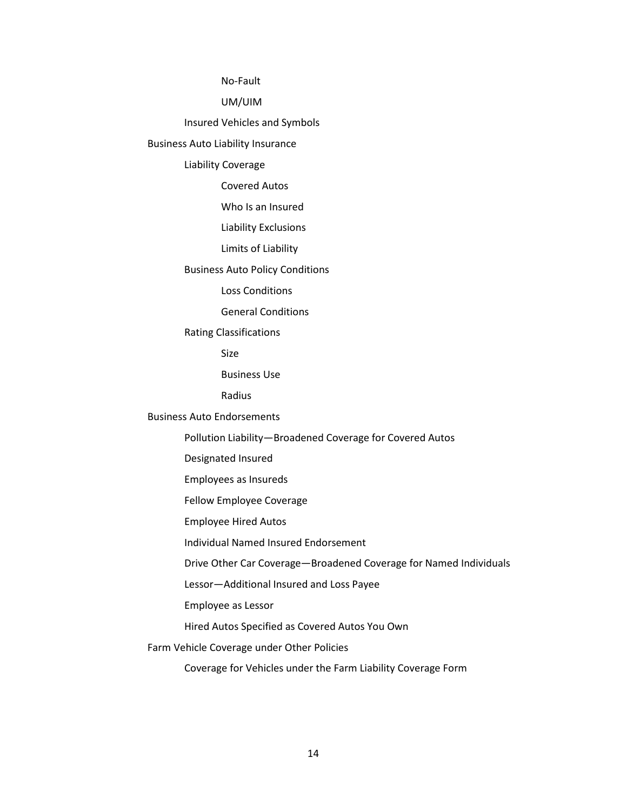No-Fault

UM/UIM

Insured Vehicles and Symbols

Business Auto Liability Insurance

Liability Coverage

Covered Autos

Who Is an Insured

Liability Exclusions

Limits of Liability

Business Auto Policy Conditions

Loss Conditions

General Conditions

Rating Classifications

Size

Business Use

Radius

Business Auto Endorsements

Pollution Liability—Broadened Coverage for Covered Autos

Designated Insured

Employees as Insureds

Fellow Employee Coverage

Employee Hired Autos

Individual Named Insured Endorsement

Drive Other Car Coverage—Broadened Coverage for Named Individuals

Lessor—Additional Insured and Loss Payee

Employee as Lessor

Hired Autos Specified as Covered Autos You Own

Farm Vehicle Coverage under Other Policies

Coverage for Vehicles under the Farm Liability Coverage Form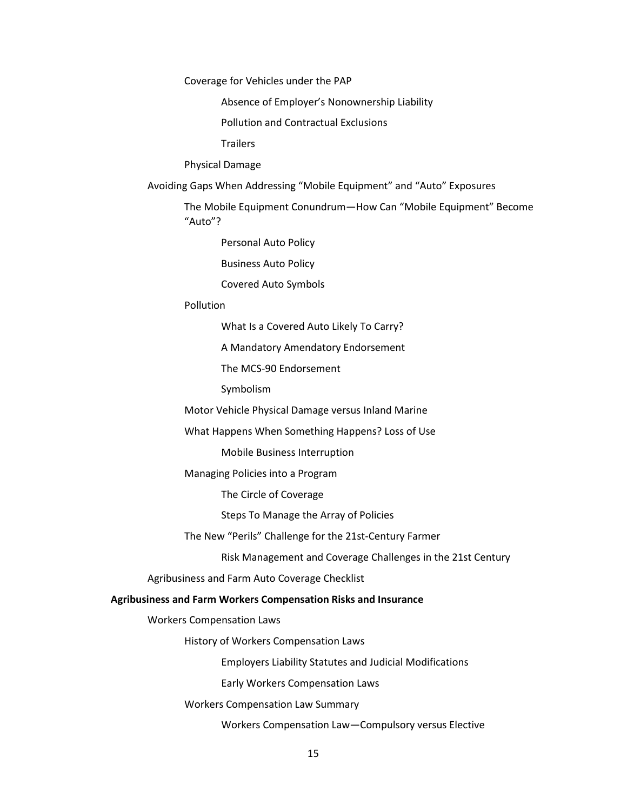Coverage for Vehicles under the PAP

Absence of Employer's Nonownership Liability

Pollution and Contractual Exclusions

**Trailers** 

Physical Damage

Avoiding Gaps When Addressing "Mobile Equipment" and "Auto" Exposures

The Mobile Equipment Conundrum—How Can "Mobile Equipment" Become "Auto"?

Personal Auto Policy

Business Auto Policy

Covered Auto Symbols

#### Pollution

What Is a Covered Auto Likely To Carry?

A Mandatory Amendatory Endorsement

The MCS-90 Endorsement

Symbolism

Motor Vehicle Physical Damage versus Inland Marine

What Happens When Something Happens? Loss of Use

Mobile Business Interruption

Managing Policies into a Program

The Circle of Coverage

Steps To Manage the Array of Policies

The New "Perils" Challenge for the 21st-Century Farmer

Risk Management and Coverage Challenges in the 21st Century

Agribusiness and Farm Auto Coverage Checklist

## **Agribusiness and Farm Workers Compensation Risks and Insurance**

Workers Compensation Laws

History of Workers Compensation Laws

Employers Liability Statutes and Judicial Modifications

Early Workers Compensation Laws

Workers Compensation Law Summary

Workers Compensation Law—Compulsory versus Elective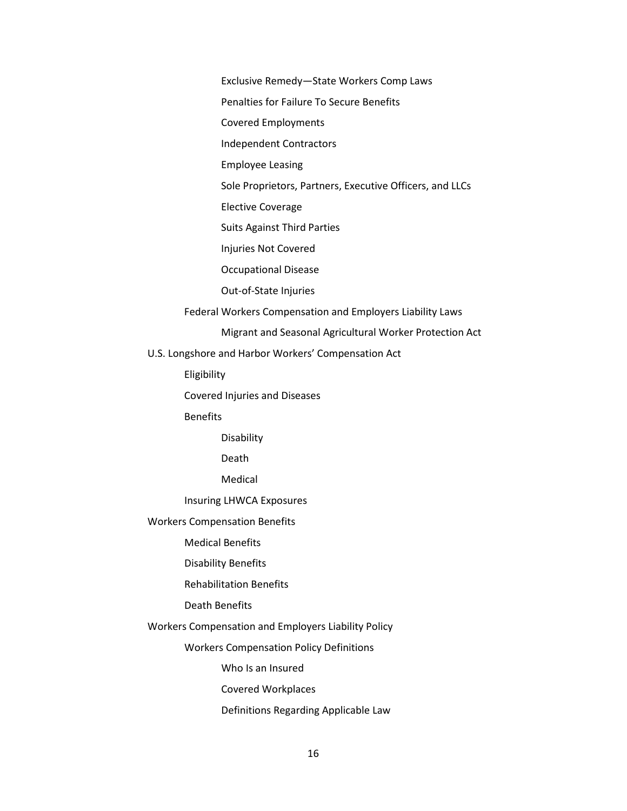Exclusive Remedy—State Workers Comp Laws

Penalties for Failure To Secure Benefits

Covered Employments

Independent Contractors

Employee Leasing

Sole Proprietors, Partners, Executive Officers, and LLCs

Elective Coverage

Suits Against Third Parties

Injuries Not Covered

Occupational Disease

Out-of-State Injuries

Federal Workers Compensation and Employers Liability Laws

Migrant and Seasonal Agricultural Worker Protection Act

U.S. Longshore and Harbor Workers' Compensation Act

Eligibility

Covered Injuries and Diseases

Benefits

Disability

Death

Medical

Insuring LHWCA Exposures

Workers Compensation Benefits

Medical Benefits

Disability Benefits

Rehabilitation Benefits

Death Benefits

Workers Compensation and Employers Liability Policy

Workers Compensation Policy Definitions

Who Is an Insured

Covered Workplaces

Definitions Regarding Applicable Law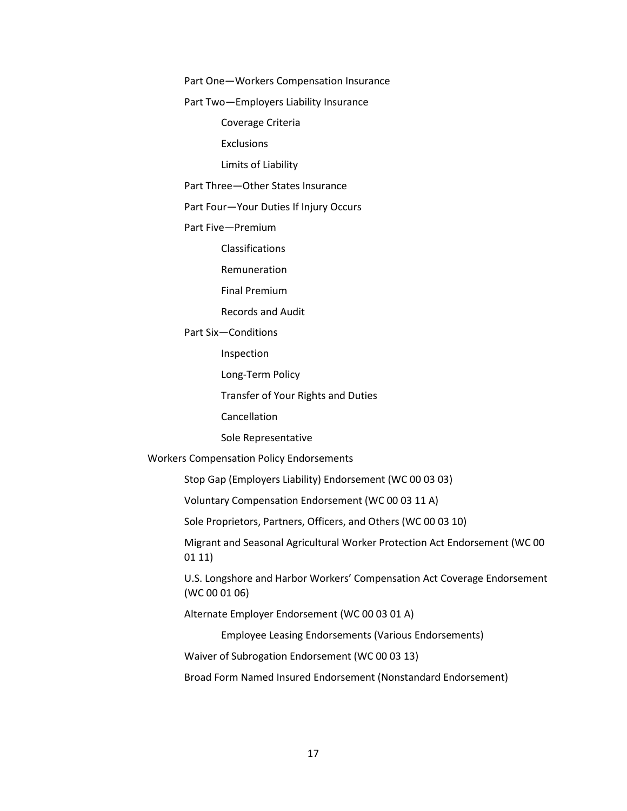Part One—Workers Compensation Insurance

Part Two—Employers Liability Insurance

Coverage Criteria

**Exclusions** 

Limits of Liability

Part Three—Other States Insurance

Part Four—Your Duties If Injury Occurs

Part Five—Premium

Classifications

Remuneration

Final Premium

Records and Audit

Part Six—Conditions

Inspection

Long-Term Policy

Transfer of Your Rights and Duties

Cancellation

Sole Representative

Workers Compensation Policy Endorsements

Stop Gap (Employers Liability) Endorsement (WC 00 03 03)

Voluntary Compensation Endorsement (WC 00 03 11 A)

Sole Proprietors, Partners, Officers, and Others (WC 00 03 10)

Migrant and Seasonal Agricultural Worker Protection Act Endorsement (WC 00 01 11)

U.S. Longshore and Harbor Workers' Compensation Act Coverage Endorsement (WC 00 01 06)

Alternate Employer Endorsement (WC 00 03 01 A)

Employee Leasing Endorsements (Various Endorsements)

Waiver of Subrogation Endorsement (WC 00 03 13)

Broad Form Named Insured Endorsement (Nonstandard Endorsement)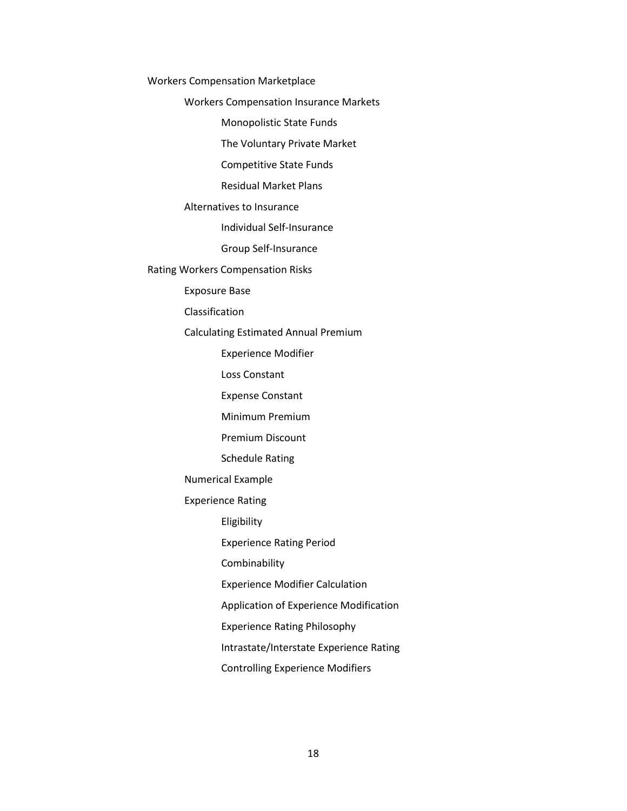Workers Compensation Marketplace

Workers Compensation Insurance Markets

Monopolistic State Funds

The Voluntary Private Market

Competitive State Funds

Residual Market Plans

Alternatives to Insurance

Individual Self-Insurance

Group Self-Insurance

Rating Workers Compensation Risks

Exposure Base

Classification

Calculating Estimated Annual Premium

Experience Modifier

Loss Constant

Expense Constant

Minimum Premium

Premium Discount

Schedule Rating

Numerical Example

Experience Rating

Eligibility

Experience Rating Period

Combinability

Experience Modifier Calculation

Application of Experience Modification

Experience Rating Philosophy

Intrastate/Interstate Experience Rating

Controlling Experience Modifiers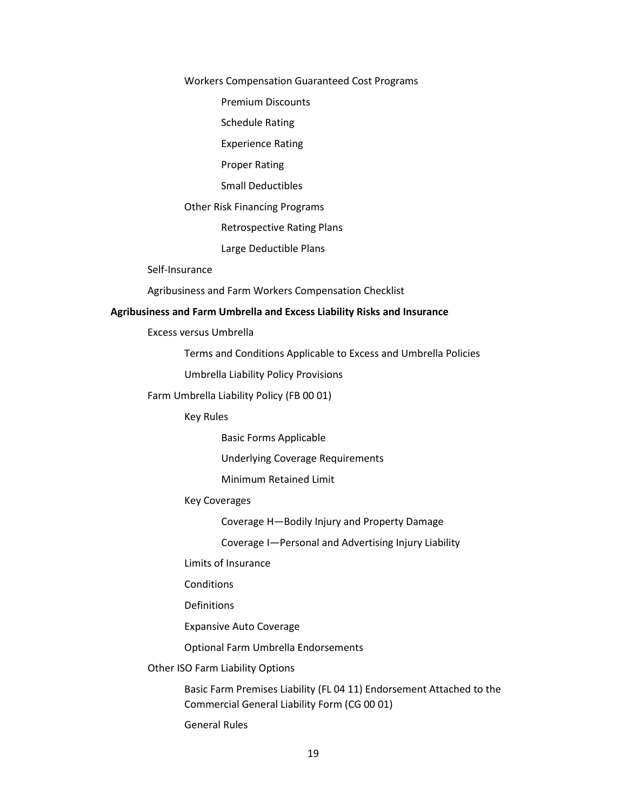#### Workers Compensation Guaranteed Cost Programs

Premium Discounts

Schedule Rating

Experience Rating

Proper Rating

Small Deductibles

Other Risk Financing Programs

Retrospective Rating Plans

Large Deductible Plans

Self-Insurance

Agribusiness and Farm Workers Compensation Checklist

#### **Agribusiness and Farm Umbrella and Excess Liability Risks and Insurance**

Excess versus Umbrella

Terms and Conditions Applicable to Excess and Umbrella Policies

Umbrella Liability Policy Provisions

Farm Umbrella Liability Policy (FB 00 01)

Key Rules

Basic Forms Applicable

Underlying Coverage Requirements

Minimum Retained Limit

#### Key Coverages

Coverage H—Bodily Injury and Property Damage

Coverage I—Personal and Advertising Injury Liability

Limits of Insurance

**Conditions** 

Definitions

Expansive Auto Coverage

Optional Farm Umbrella Endorsements

## Other ISO Farm Liability Options

Basic Farm Premises Liability (FL 04 11) Endorsement Attached to the Commercial General Liability Form (CG 00 01)

General Rules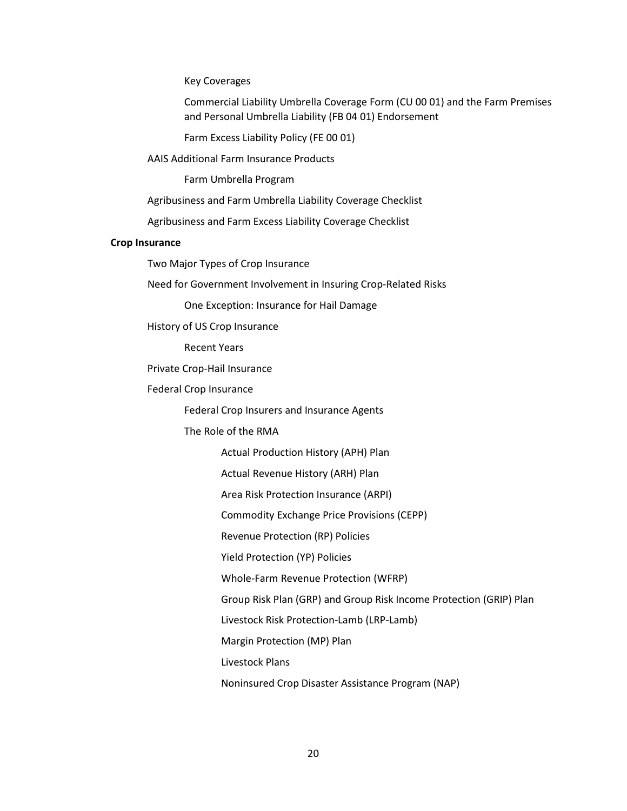Key Coverages

Commercial Liability Umbrella Coverage Form (CU 00 01) and the Farm Premises and Personal Umbrella Liability (FB 04 01) Endorsement

Farm Excess Liability Policy (FE 00 01)

AAIS Additional Farm Insurance Products

Farm Umbrella Program

Agribusiness and Farm Umbrella Liability Coverage Checklist

Agribusiness and Farm Excess Liability Coverage Checklist

## **Crop Insurance**

Two Major Types of Crop Insurance

Need for Government Involvement in Insuring Crop-Related Risks

One Exception: Insurance for Hail Damage

History of US Crop Insurance

Recent Years

Private Crop-Hail Insurance

Federal Crop Insurance

Federal Crop Insurers and Insurance Agents

The Role of the RMA

Actual Production History (APH) Plan

Actual Revenue History (ARH) Plan

Area Risk Protection Insurance (ARPI)

Commodity Exchange Price Provisions (CEPP)

Revenue Protection (RP) Policies

Yield Protection (YP) Policies

Whole-Farm Revenue Protection (WFRP)

Group Risk Plan (GRP) and Group Risk Income Protection (GRIP) Plan

Livestock Risk Protection-Lamb (LRP-Lamb)

Margin Protection (MP) Plan

Livestock Plans

Noninsured Crop Disaster Assistance Program (NAP)